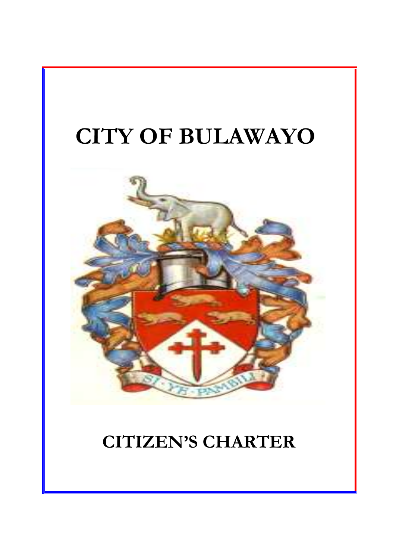



# **CITIZEN'S CHARTER**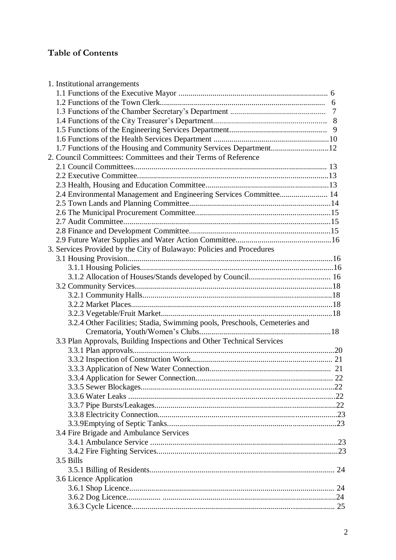# **Table of Contents**

| 1. Institutional arrangements                                              |                |
|----------------------------------------------------------------------------|----------------|
|                                                                            |                |
|                                                                            |                |
|                                                                            | $\overline{7}$ |
|                                                                            |                |
|                                                                            |                |
|                                                                            |                |
| 1.7 Functions of the Housing and Community Services Department12           |                |
| 2. Council Committees: Committees and their Terms of Reference             |                |
|                                                                            |                |
|                                                                            |                |
|                                                                            |                |
| 2.4 Environmental Management and Engineering Services Committee 14         |                |
|                                                                            |                |
|                                                                            |                |
|                                                                            |                |
|                                                                            |                |
|                                                                            |                |
| 3. Services Provided by the City of Bulawayo: Policies and Procedures      |                |
|                                                                            |                |
|                                                                            |                |
|                                                                            |                |
|                                                                            |                |
|                                                                            |                |
|                                                                            |                |
|                                                                            |                |
| 3.2.4 Other Facilities; Stadia, Swimming pools, Preschools, Cemeteries and |                |
|                                                                            |                |
| 3.3 Plan Approvals, Building Inspections and Other Technical Services      |                |
|                                                                            |                |
|                                                                            |                |
|                                                                            |                |
|                                                                            |                |
|                                                                            |                |
|                                                                            |                |
|                                                                            |                |
|                                                                            |                |
|                                                                            |                |
| 3.4 Fire Brigade and Ambulance Services                                    |                |
|                                                                            |                |
|                                                                            |                |
| 3.5 Bills                                                                  |                |
|                                                                            |                |
| 3.6 Licence Application                                                    |                |
|                                                                            |                |
|                                                                            |                |
|                                                                            |                |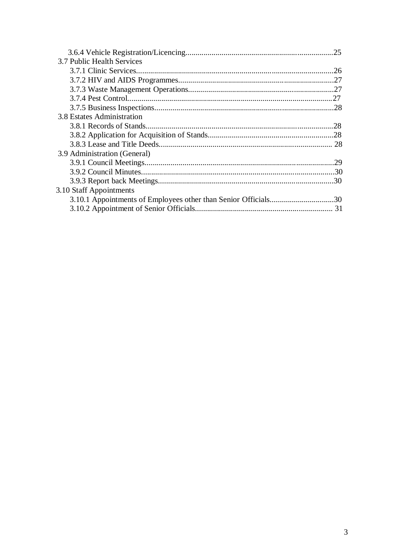|                              | .25 |
|------------------------------|-----|
| 3.7 Public Health Services   |     |
|                              |     |
|                              |     |
|                              |     |
|                              | 27  |
|                              |     |
| 3.8 Estates Administration   |     |
|                              | .28 |
|                              |     |
|                              |     |
| 3.9 Administration (General) |     |
|                              | 29  |
|                              |     |
|                              |     |
| 3.10 Staff Appointments      |     |
|                              |     |
|                              |     |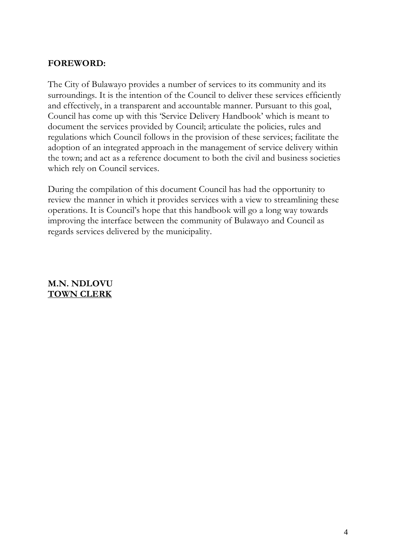#### **FOREWORD:**

The City of Bulawayo provides a number of services to its community and its surroundings. It is the intention of the Council to deliver these services efficiently and effectively, in a transparent and accountable manner. Pursuant to this goal, Council has come up with this 'Service Delivery Handbook' which is meant to document the services provided by Council; articulate the policies, rules and regulations which Council follows in the provision of these services; facilitate the adoption of an integrated approach in the management of service delivery within the town; and act as a reference document to both the civil and business societies which rely on Council services.

During the compilation of this document Council has had the opportunity to review the manner in which it provides services with a view to streamlining these operations. It is Council's hope that this handbook will go a long way towards improving the interface between the community of Bulawayo and Council as regards services delivered by the municipality.

#### **M.N. NDLOVU TOWN CLERK**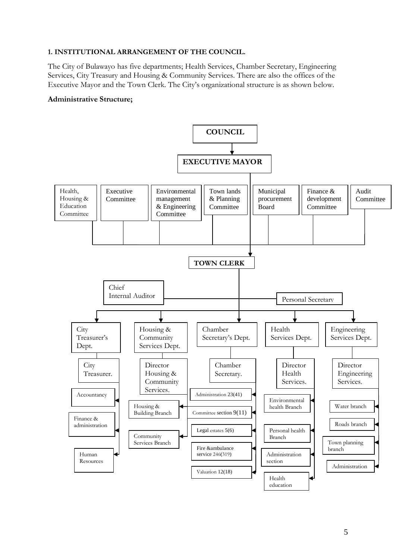#### **1. INSTITUTIONAL ARRANGEMENT OF THE COUNCIL.**

The City of Bulawayo has five departments; Health Services, Chamber Secretary, Engineering Services, City Treasury and Housing & Community Services. There are also the offices of the Executive Mayor and the Town Clerk. The City's organizational structure is as shown below.

#### **Administrative Structure;**

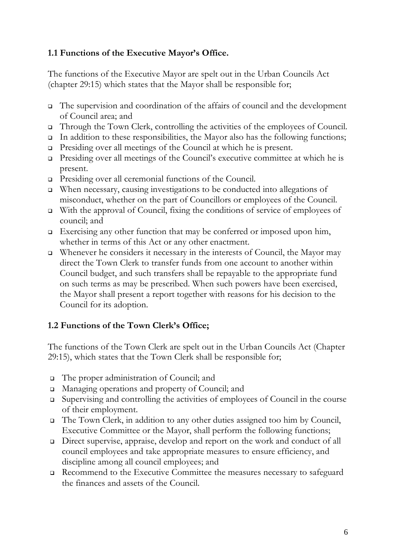# **1.1 Functions of the Executive Mayor's Office.**

The functions of the Executive Mayor are spelt out in the Urban Councils Act (chapter 29:15) which states that the Mayor shall be responsible for;

- The supervision and coordination of the affairs of council and the development of Council area; and
- Through the Town Clerk, controlling the activities of the employees of Council.
- $\Box$  In addition to these responsibilities, the Mayor also has the following functions;
- Presiding over all meetings of the Council at which he is present.
- Presiding over all meetings of the Council's executive committee at which he is present.
- Presiding over all ceremonial functions of the Council.
- When necessary, causing investigations to be conducted into allegations of misconduct, whether on the part of Councillors or employees of the Council.
- With the approval of Council, fixing the conditions of service of employees of council; and
- Exercising any other function that may be conferred or imposed upon him, whether in terms of this Act or any other enactment.
- $\Box$  Whenever he considers it necessary in the interests of Council, the Mayor may direct the Town Clerk to transfer funds from one account to another within Council budget, and such transfers shall be repayable to the appropriate fund on such terms as may be prescribed. When such powers have been exercised, the Mayor shall present a report together with reasons for his decision to the Council for its adoption.

# **1.2 Functions of the Town Clerk's Office;**

The functions of the Town Clerk are spelt out in the Urban Councils Act (Chapter 29:15), which states that the Town Clerk shall be responsible for;

- The proper administration of Council; and
- □ Managing operations and property of Council; and
- Supervising and controlling the activities of employees of Council in the course of their employment.
- The Town Clerk, in addition to any other duties assigned too him by Council, Executive Committee or the Mayor, shall perform the following functions;
- Direct supervise, appraise, develop and report on the work and conduct of all council employees and take appropriate measures to ensure efficiency, and discipline among all council employees; and
- Recommend to the Executive Committee the measures necessary to safeguard the finances and assets of the Council.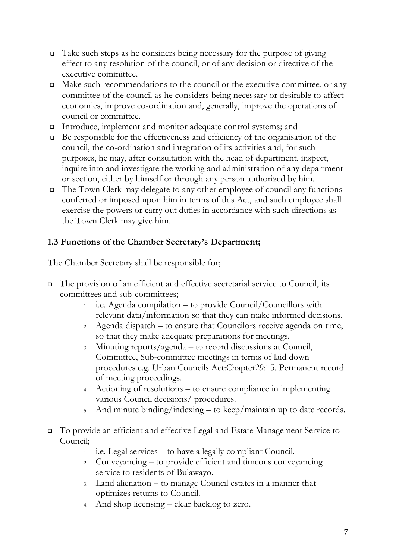- $\Box$  Take such steps as he considers being necessary for the purpose of giving effect to any resolution of the council, or of any decision or directive of the executive committee.
- $\Box$  Make such recommendations to the council or the executive committee, or any committee of the council as he considers being necessary or desirable to affect economies, improve co-ordination and, generally, improve the operations of council or committee.
- Introduce, implement and monitor adequate control systems; and
- $\Box$  Be responsible for the effectiveness and efficiency of the organisation of the council, the co-ordination and integration of its activities and, for such purposes, he may, after consultation with the head of department, inspect, inquire into and investigate the working and administration of any department or section, either by himself or through any person authorized by him.
- The Town Clerk may delegate to any other employee of council any functions conferred or imposed upon him in terms of this Act, and such employee shall exercise the powers or carry out duties in accordance with such directions as the Town Clerk may give him.

# **1.3 Functions of the Chamber Secretary's Department;**

The Chamber Secretary shall be responsible for;

- The provision of an efficient and effective secretarial service to Council, its committees and sub-committees;
	- 1. i.e. Agenda compilation to provide Council/Councillors with relevant data/information so that they can make informed decisions.
	- 2. Agenda dispatch to ensure that Councilors receive agenda on time, so that they make adequate preparations for meetings.
	- 3. Minuting reports/agenda to record discussions at Council, Committee, Sub-committee meetings in terms of laid down procedures e.g. Urban Councils Act:Chapter29:15. Permanent record of meeting proceedings.
	- 4. Actioning of resolutions to ensure compliance in implementing various Council decisions/ procedures.
	- 5. And minute binding/indexing to keep/maintain up to date records.
- To provide an efficient and effective Legal and Estate Management Service to Council;
	- 1. i.e. Legal services to have a legally compliant Council.
	- 2. Conveyancing to provide efficient and timeous conveyancing service to residents of Bulawayo.
	- 3. Land alienation to manage Council estates in a manner that optimizes returns to Council.
	- 4. And shop licensing clear backlog to zero.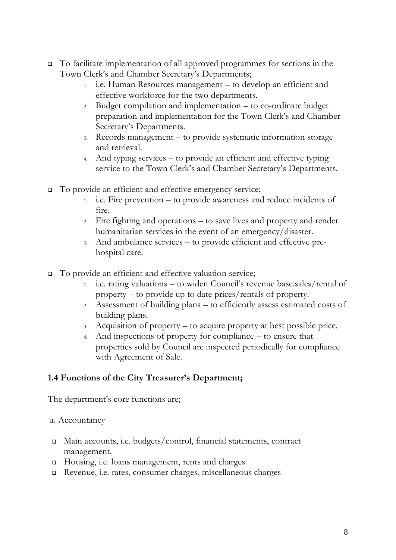- To facilitate implementation of all approved programmes for sections in the Town Clerk's and Chamber Secretary's Departments;
	- 1. i.e. Human Resources management to develop an efficient and effective workforce for the two departments.
	- 2. Budget compilation and implementation to co-ordinate budget preparation and implementation for the Town Clerk's and Chamber Secretary's Departments.
	- 3. Records management to provide systematic information storage and retrieval.
	- 4. And typing services to provide an efficient and effective typing service to the Town Clerk's and Chamber Secretary's Departments.
- □ To provide an efficient and effective emergency service;
	- 1. i.e. Fire prevention to provide awareness and reduce incidents of fire.
	- 2. Fire fighting and operations to save lives and property and render humanitarian services in the event of an emergency/disaster.
	- 3. And ambulance services to provide efficient and effective prehospital care.
- □ To provide an efficient and effective valuation service;
	- 1. i.e. rating valuations to widen Council's revenue base.sales/rental of property – to provide up to date prices/rentals of property.
	- 2. Assessment of building plans to efficiently assess estimated costs of building plans.
	- 3. Acquisition of property to acquire property at best possible price.
	- 4. And inspections of property for compliance to ensure that properties sold by Council are inspected periodically for compliance with Agreement of Sale.

## **1.4 Functions of the City Treasurer's Department;**

The department's core functions are;

#### a. Accountancy

- Main accounts, i.e. budgets/control, financial statements, contract management.
- □ Housing, i.e. loans management, rents and charges.
- Revenue, i.e. rates, consumer charges, miscellaneous charges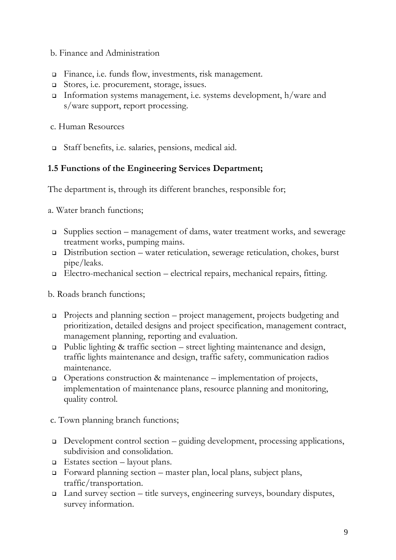#### b. Finance and Administration

- Finance, i.e. funds flow, investments, risk management.
- Stores, i.e. procurement, storage, issues.
- Information systems management, i.e. systems development,  $h/w$ are and s/ware support, report processing.
- c. Human Resources
- Staff benefits, i.e. salaries, pensions, medical aid.

#### **1.5 Functions of the Engineering Services Department;**

The department is, through its different branches, responsible for;

a. Water branch functions;

- Supplies section management of dams, water treatment works, and sewerage treatment works, pumping mains.
- Distribution section water reticulation, sewerage reticulation, chokes, burst pipe/leaks.
- Electro-mechanical section electrical repairs, mechanical repairs, fitting.

b. Roads branch functions;

- Projects and planning section project management, projects budgeting and prioritization, detailed designs and project specification, management contract, management planning, reporting and evaluation.
- $\Box$  Public lighting & traffic section street lighting maintenance and design, traffic lights maintenance and design, traffic safety, communication radios maintenance.
- $\Box$  Operations construction & maintenance implementation of projects, implementation of maintenance plans, resource planning and monitoring, quality control.

c. Town planning branch functions;

- □ Development control section guiding development, processing applications, subdivision and consolidation.
- $\Box$  Estates section layout plans.
- Forward planning section master plan, local plans, subject plans, traffic/transportation.
- Land survey section title surveys, engineering surveys, boundary disputes, survey information.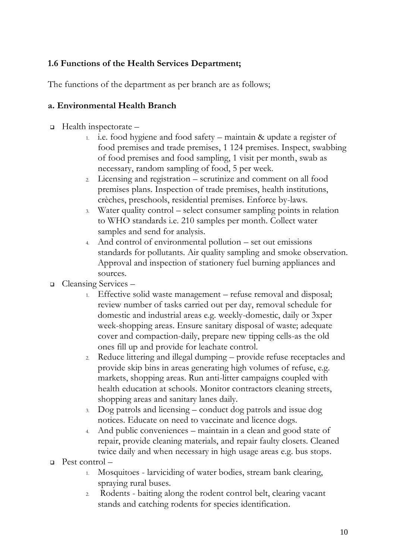# **1.6 Functions of the Health Services Department;**

The functions of the department as per branch are as follows;

#### **a. Environmental Health Branch**

- Health inspectorate
	- 1. i.e. food hygiene and food safety maintain & update a register of food premises and trade premises, 1 124 premises. Inspect, swabbing of food premises and food sampling, 1 visit per month, swab as necessary, random sampling of food, 5 per week.
	- 2. Licensing and registration scrutinize and comment on all food premises plans. Inspection of trade premises, health institutions, crèches, preschools, residential premises. Enforce by-laws.
	- 3. Water quality control select consumer sampling points in relation to WHO standards i.e. 210 samples per month. Collect water samples and send for analysis.
	- 4. And control of environmental pollution set out emissions standards for pollutants. Air quality sampling and smoke observation. Approval and inspection of stationery fuel burning appliances and sources.
- Cleansing Services
	- 1. Effective solid waste management refuse removal and disposal; review number of tasks carried out per day, removal schedule for domestic and industrial areas e.g. weekly-domestic, daily or 3xper week-shopping areas. Ensure sanitary disposal of waste; adequate cover and compaction-daily, prepare new tipping cells-as the old ones fill up and provide for leachate control.
	- 2. Reduce littering and illegal dumping provide refuse receptacles and provide skip bins in areas generating high volumes of refuse, e.g. markets, shopping areas. Run anti-litter campaigns coupled with health education at schools. Monitor contractors cleaning streets, shopping areas and sanitary lanes daily.
	- 3. Dog patrols and licensing conduct dog patrols and issue dog notices. Educate on need to vaccinate and licence dogs.
	- 4. And public conveniences maintain in a clean and good state of repair, provide cleaning materials, and repair faulty closets. Cleaned twice daily and when necessary in high usage areas e.g. bus stops.
- Pest control
	- 1. Mosquitoes larviciding of water bodies, stream bank clearing, spraying rural buses.
	- 2. Rodents baiting along the rodent control belt, clearing vacant stands and catching rodents for species identification.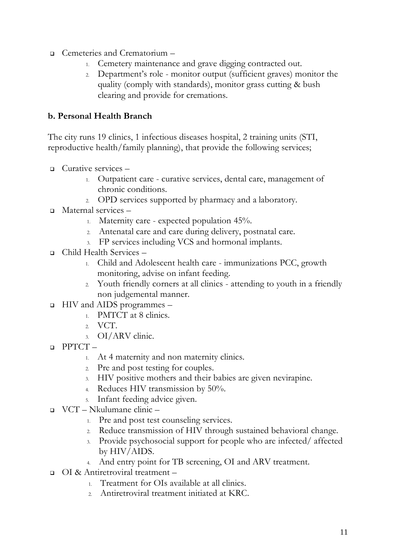- Cemeteries and Crematorium
	- 1. Cemetery maintenance and grave digging contracted out.
	- 2. Department's role monitor output (sufficient graves) monitor the quality (comply with standards), monitor grass cutting & bush clearing and provide for cremations.

#### **b. Personal Health Branch**

The city runs 19 clinics, 1 infectious diseases hospital, 2 training units (STI, reproductive health/family planning), that provide the following services;

- Curative services
	- 1. Outpatient care curative services, dental care, management of chronic conditions.
	- 2. OPD services supported by pharmacy and a laboratory.
- Maternal services
	- 1. Maternity care expected population 45%.
	- 2. Antenatal care and care during delivery, postnatal care.
	- 3. FP services including VCS and hormonal implants.
- Child Health Services
	- 1. Child and Adolescent health care immunizations PCC, growth monitoring, advise on infant feeding.
	- 2. Youth friendly corners at all clinics attending to youth in a friendly non judgemental manner.
- HIV and AIDS programmes
	- 1. PMTCT at 8 clinics.
	- 2. VCT.
	- 3. OI/ARV clinic.
- $\Box$  PPTCT
	- 1. At 4 maternity and non maternity clinics.
	- 2. Pre and post testing for couples.
	- 3. HIV positive mothers and their babies are given nevirapine.
	- 4. Reduces HIV transmission by 50%.
	- 5. Infant feeding advice given.
- VCT Nkulumane clinic
	- 1. Pre and post test counseling services.
	- 2. Reduce transmission of HIV through sustained behavioral change.
	- 3. Provide psychosocial support for people who are infected/ affected by HIV/AIDS.
	- 4. And entry point for TB screening, OI and ARV treatment.
- OI & Antiretroviral treatment
	- 1. Treatment for OIs available at all clinics.
	- 2. Antiretroviral treatment initiated at KRC.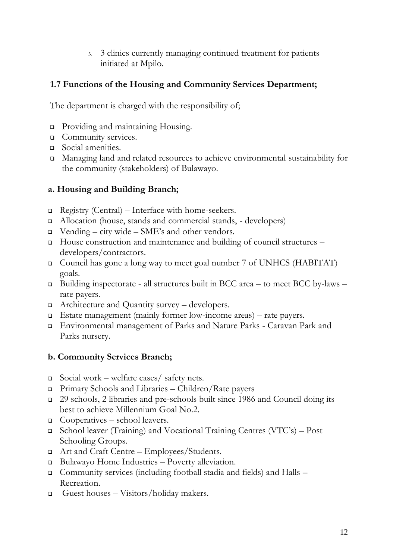3. 3 clinics currently managing continued treatment for patients initiated at Mpilo.

#### **1.7 Functions of the Housing and Community Services Department;**

The department is charged with the responsibility of;

- □ Providing and maintaining Housing.
- **Q** Community services.
- Social amenities.
- Managing land and related resources to achieve environmental sustainability for the community (stakeholders) of Bulawayo.

#### **a. Housing and Building Branch;**

- □ Registry (Central) Interface with home-seekers.
- Allocation (house, stands and commercial stands, developers)
- $\Box$  Vending city wide SME's and other vendors.
- □ House construction and maintenance and building of council structures developers/contractors.
- Council has gone a long way to meet goal number 7 of UNHCS (HABITAT) goals.
- Building inspectorate all structures built in BCC area to meet BCC by-laws rate payers.
- Architecture and Quantity survey developers.
- Estate management (mainly former low-income areas) rate payers.
- Environmental management of Parks and Nature Parks Caravan Park and Parks nursery.

#### **b. Community Services Branch;**

- Social work welfare cases/ safety nets.
- Primary Schools and Libraries Children/Rate payers
- 29 schools, 2 libraries and pre-schools built since 1986 and Council doing its best to achieve Millennium Goal No.2.
- $\Box$  Cooperatives school leavers.
- School leaver (Training) and Vocational Training Centres (VTC's) Post Schooling Groups.
- Art and Craft Centre Employees/Students.
- Bulawayo Home Industries Poverty alleviation.
- Community services (including football stadia and fields) and Halls Recreation.
- Guest houses Visitors/holiday makers.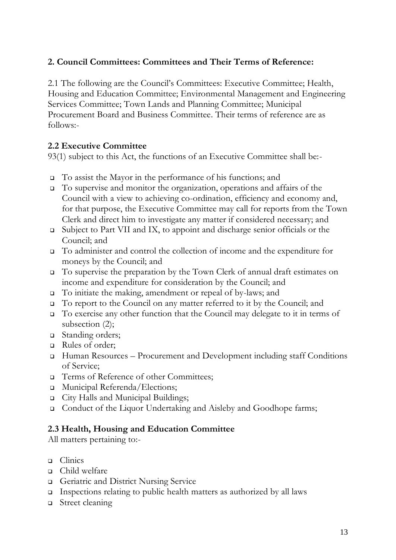## **2. Council Committees: Committees and Their Terms of Reference:**

2.1 The following are the Council's Committees: Executive Committee; Health, Housing and Education Committee; Environmental Management and Engineering Services Committee; Town Lands and Planning Committee; Municipal Procurement Board and Business Committee. Their terms of reference are as follows:-

#### **2.2 Executive Committee**

93(1) subject to this Act, the functions of an Executive Committee shall be:-

- To assist the Mayor in the performance of his functions; and
- To supervise and monitor the organization, operations and affairs of the Council with a view to achieving co-ordination, efficiency and economy and, for that purpose, the Executive Committee may call for reports from the Town Clerk and direct him to investigate any matter if considered necessary; and
- Subject to Part VII and IX, to appoint and discharge senior officials or the Council; and
- To administer and control the collection of income and the expenditure for moneys by the Council; and
- To supervise the preparation by the Town Clerk of annual draft estimates on income and expenditure for consideration by the Council; and
- To initiate the making, amendment or repeal of by-laws; and
- □ To report to the Council on any matter referred to it by the Council; and
- To exercise any other function that the Council may delegate to it in terms of subsection (2);
- □ Standing orders;
- □ Rules of order;
- Human Resources Procurement and Development including staff Conditions of Service;
- □ Terms of Reference of other Committees;
- □ Municipal Referenda/Elections;
- □ City Halls and Municipal Buildings;
- Conduct of the Liquor Undertaking and Aisleby and Goodhope farms;

#### **2.3 Health, Housing and Education Committee**

All matters pertaining to:-

- **Quantilary Quantile**
- Child welfare
- Geriatric and District Nursing Service
- Inspections relating to public health matters as authorized by all laws
- Street cleaning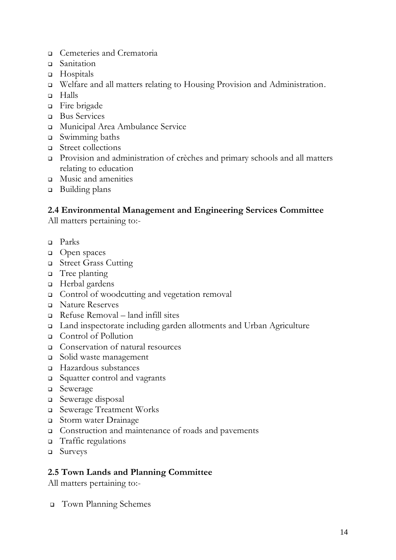- Cemeteries and Crematoria
- Sanitation
- **u** Hospitals
- Welfare and all matters relating to Housing Provision and Administration.
- Halls
- Fire brigade
- □ Bus Services
- Municipal Area Ambulance Service
- Swimming baths
- **Exercise Street collections**
- Provision and administration of crèches and primary schools and all matters relating to education
- Music and amenities
- □ Building plans

#### **2.4 Environmental Management and Engineering Services Committee**

All matters pertaining to:-

- Parks
- □ Open spaces
- □ Street Grass Cutting
- Tree planting
- Herbal gardens
- □ Control of woodcutting and vegetation removal
- Nature Reserves
- $\Box$  Refuse Removal land infill sites
- Land inspectorate including garden allotments and Urban Agriculture
- Control of Pollution
- Conservation of natural resources
- Solid waste management
- Hazardous substances
- Squatter control and vagrants
- □ Sewerage
- Sewerage disposal
- Sewerage Treatment Works
- Storm water Drainage
- Construction and maintenance of roads and pavements
- Traffic regulations
- Surveys

#### **2.5 Town Lands and Planning Committee**

All matters pertaining to:-

Town Planning Schemes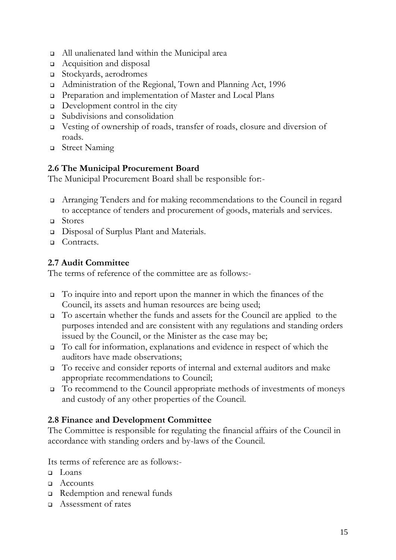- All unalienated land within the Municipal area
- Acquisition and disposal
- Stockyards, aerodromes
- Administration of the Regional, Town and Planning Act, 1996
- Preparation and implementation of Master and Local Plans
- Development control in the city
- Subdivisions and consolidation
- Vesting of ownership of roads, transfer of roads, closure and diversion of roads.
- □ Street Naming

# **2.6 The Municipal Procurement Board**

The Municipal Procurement Board shall be responsible for:-

- Arranging Tenders and for making recommendations to the Council in regard to acceptance of tenders and procurement of goods, materials and services.
- Stores
- Disposal of Surplus Plant and Materials.
- □ Contracts.

# **2.7 Audit Committee**

The terms of reference of the committee are as follows:-

- To inquire into and report upon the manner in which the finances of the Council, its assets and human resources are being used;
- To ascertain whether the funds and assets for the Council are applied to the purposes intended and are consistent with any regulations and standing orders issued by the Council, or the Minister as the case may be;
- To call for information, explanations and evidence in respect of which the auditors have made observations;
- To receive and consider reports of internal and external auditors and make appropriate recommendations to Council;
- To recommend to the Council appropriate methods of investments of moneys and custody of any other properties of the Council.

## **2.8 Finance and Development Committee**

The Committee is responsible for regulating the financial affairs of the Council in accordance with standing orders and by-laws of the Council.

Its terms of reference are as follows:-

- $\Box$  Loans
- □ Accounts
- Redemption and renewal funds
- Assessment of rates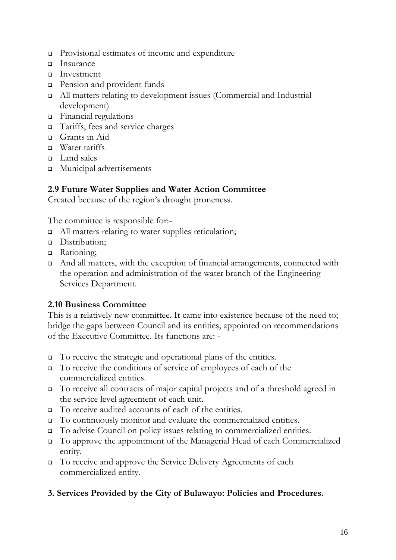- Provisional estimates of income and expenditure
- Insurance
- Investment
- **Pension and provident funds**
- All matters relating to development issues (Commercial and Industrial development)
- Financial regulations
- □ Tariffs, fees and service charges
- Grants in Aid
- Water tariffs
- □ Land sales
- Municipal advertisements

#### **2.9 Future Water Supplies and Water Action Committee**

Created because of the region's drought proneness.

The committee is responsible for:-

- □ All matters relating to water supplies reticulation;
- Distribution;
- **B** Rationing;
- And all matters, with the exception of financial arrangements, connected with the operation and administration of the water branch of the Engineering Services Department.

#### **2.10 Business Committee**

This is a relatively new committee. It came into existence because of the need to; bridge the gaps between Council and its entities; appointed on recommendations of the Executive Committee. Its functions are: -

- To receive the strategic and operational plans of the entities.
- To receive the conditions of service of employees of each of the commercialized entities.
- To receive all contracts of major capital projects and of a threshold agreed in the service level agreement of each unit.
- □ To receive audited accounts of each of the entities.
- To continuously monitor and evaluate the commercialized entities.
- To advise Council on policy issues relating to commercialized entities.
- To approve the appointment of the Managerial Head of each Commercialized entity.
- To receive and approve the Service Delivery Agreements of each commercialized entity.

#### **3. Services Provided by the City of Bulawayo: Policies and Procedures.**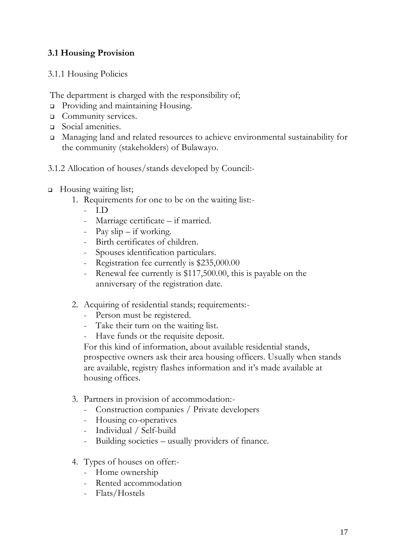# **3.1 Housing Provision**

3.1.1 Housing Policies

The department is charged with the responsibility of;

- **Providing and maintaining Housing.**
- **Q** Community services.
- Social amenities.
- Managing land and related resources to achieve environmental sustainability for the community (stakeholders) of Bulawayo.
- 3.1.2 Allocation of houses/stands developed by Council:-
- □ Housing waiting list;
	- 1. Requirements for one to be on the waiting list:-
		- I.D
		- Marriage certificate if married.
		- Pay slip if working.
		- Birth certificates of children.
		- Spouses identification particulars.
		- Registration fee currently is \$235,000.00
		- Renewal fee currently is \$117,500.00, this is payable on the anniversary of the registration date.
	- 2. Acquiring of residential stands; requirements:-
		- Person must be registered.
		- Take their turn on the waiting list.
		- Have funds or the requisite deposit.

For this kind of information, about available residential stands, prospective owners ask their area housing officers. Usually when stands are available, registry flashes information and it's made available at housing offices.

- 3. Partners in provision of accommodation:-
	- Construction companies / Private developers
	- Housing co-operatives
	- Individual / Self-build
	- Building societies usually providers of finance.
- 4. Types of houses on offer:-
	- Home ownership
	- Rented accommodation
	- Flats/Hostels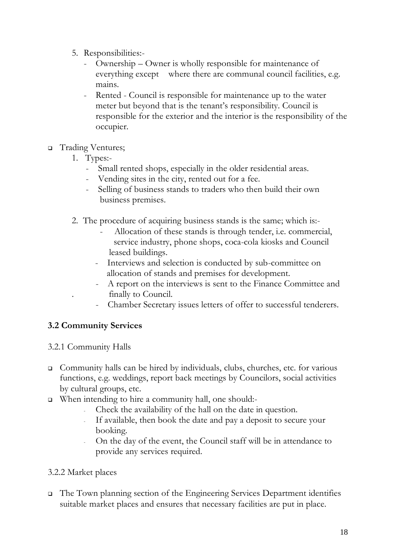- 5. Responsibilities:-
	- Ownership Owner is wholly responsible for maintenance of everything except where there are communal council facilities, e.g. mains.
	- Rented Council is responsible for maintenance up to the water meter but beyond that is the tenant's responsibility. Council is responsible for the exterior and the interior is the responsibility of the occupier.

#### Trading Ventures;

- 1. Types:-
	- Small rented shops, especially in the older residential areas.
	- Vending sites in the city, rented out for a fee.
	- Selling of business stands to traders who then build their own business premises.
- 2. The procedure of acquiring business stands is the same; which is:-
	- Allocation of these stands is through tender, i.e. commercial, service industry, phone shops, coca-cola kiosks and Council leased buildings.
	- Interviews and selection is conducted by sub-committee on allocation of stands and premises for development.
	- A report on the interviews is sent to the Finance Committee and . finally to Council.
	- Chamber Secretary issues letters of offer to successful tenderers.

# **3.2 Community Services**

## 3.2.1 Community Halls

- Community halls can be hired by individuals, clubs, churches, etc. for various functions, e.g. weddings, report back meetings by Councilors, social activities by cultural groups, etc.
- □ When intending to hire a community hall, one should:
	- Check the availability of the hall on the date in question.
	- If available, then book the date and pay a deposit to secure your booking.
	- On the day of the event, the Council staff will be in attendance to provide any services required.

## 3.2.2 Market places

 The Town planning section of the Engineering Services Department identifies suitable market places and ensures that necessary facilities are put in place.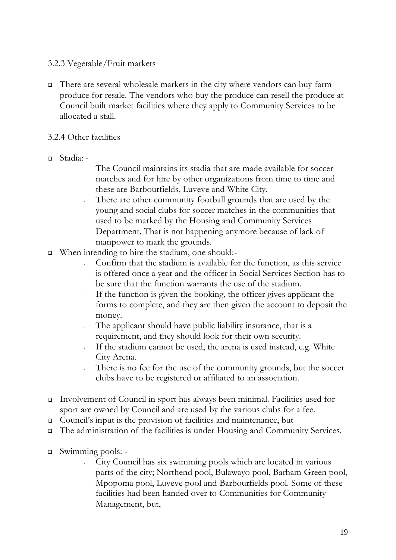#### 3.2.3 Vegetable/Fruit markets

 $\Box$  There are several wholesale markets in the city where vendors can buy farm produce for resale. The vendors who buy the produce can resell the produce at Council built market facilities where they apply to Community Services to be allocated a stall.

#### 3.2.4 Other facilities

- Stadia:
	- The Council maintains its stadia that are made available for soccer matches and for hire by other organizations from time to time and these are Barbourfields, Luveve and White City.
	- There are other community football grounds that are used by the young and social clubs for soccer matches in the communities that used to be marked by the Housing and Community Services Department. That is not happening anymore because of lack of manpower to mark the grounds.
- □ When intending to hire the stadium, one should:
	- Confirm that the stadium is available for the function, as this service is offered once a year and the officer in Social Services Section has to be sure that the function warrants the use of the stadium.
	- If the function is given the booking, the officer gives applicant the forms to complete, and they are then given the account to deposit the money.
	- The applicant should have public liability insurance, that is a requirement, and they should look for their own security.
	- If the stadium cannot be used, the arena is used instead, e.g. White City Arena.
	- There is no fee for the use of the community grounds, but the soccer clubs have to be registered or affiliated to an association.
- Involvement of Council in sport has always been minimal. Facilities used for sport are owned by Council and are used by the various clubs for a fee.
- Council's input is the provision of facilities and maintenance, but
- The administration of the facilities is under Housing and Community Services.
- Swimming pools:
	- City Council has six swimming pools which are located in various parts of the city; Northend pool, Bulawayo pool, Barham Green pool, Mpopoma pool, Luveve pool and Barbourfields pool. Some of these facilities had been handed over to Communities for Community Management, but,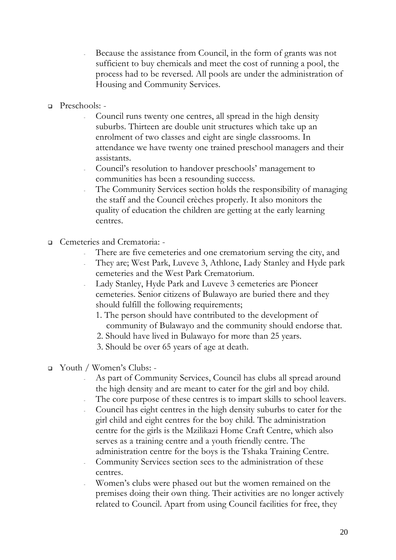- Because the assistance from Council, in the form of grants was not sufficient to buy chemicals and meet the cost of running a pool, the process had to be reversed. All pools are under the administration of Housing and Community Services.
- Preschools:
	- Council runs twenty one centres, all spread in the high density suburbs. Thirteen are double unit structures which take up an enrolment of two classes and eight are single classrooms. In attendance we have twenty one trained preschool managers and their assistants.
	- Council's resolution to handover preschools' management to communities has been a resounding success.
	- The Community Services section holds the responsibility of managing the staff and the Council crèches properly. It also monitors the quality of education the children are getting at the early learning centres.
- Cemeteries and Crematoria:
	- There are five cemeteries and one crematorium serving the city, and
	- They are; West Park, Luveve 3, Athlone, Lady Stanley and Hyde park cemeteries and the West Park Crematorium.
	- Lady Stanley, Hyde Park and Luveve 3 cemeteries are Pioneer cemeteries. Senior citizens of Bulawayo are buried there and they should fulfill the following requirements;
		- 1. The person should have contributed to the development of community of Bulawayo and the community should endorse that.
		- 2. Should have lived in Bulawayo for more than 25 years.
		- 3. Should be over 65 years of age at death.
- Youth / Women's Clubs:
	- As part of Community Services, Council has clubs all spread around the high density and are meant to cater for the girl and boy child.
	- The core purpose of these centres is to impart skills to school leavers.
	- Council has eight centres in the high density suburbs to cater for the girl child and eight centres for the boy child. The administration centre for the girls is the Mzilikazi Home Craft Centre, which also serves as a training centre and a youth friendly centre. The administration centre for the boys is the Tshaka Training Centre.
	- Community Services section sees to the administration of these centres.
	- Women's clubs were phased out but the women remained on the premises doing their own thing. Their activities are no longer actively related to Council. Apart from using Council facilities for free, they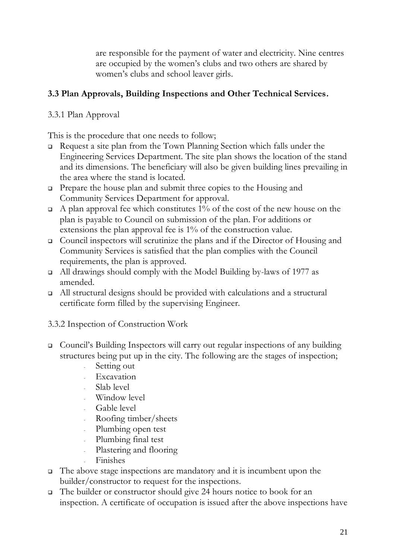are responsible for the payment of water and electricity. Nine centres are occupied by the women's clubs and two others are shared by women's clubs and school leaver girls.

## **3.3 Plan Approvals, Building Inspections and Other Technical Services.**

3.3.1 Plan Approval

This is the procedure that one needs to follow;

- Request a site plan from the Town Planning Section which falls under the Engineering Services Department. The site plan shows the location of the stand and its dimensions. The beneficiary will also be given building lines prevailing in the area where the stand is located.
- Prepare the house plan and submit three copies to the Housing and Community Services Department for approval.
- $\Box$  A plan approval fee which constitutes 1% of the cost of the new house on the plan is payable to Council on submission of the plan. For additions or extensions the plan approval fee is 1% of the construction value.
- Council inspectors will scrutinize the plans and if the Director of Housing and Community Services is satisfied that the plan complies with the Council requirements, the plan is approved.
- All drawings should comply with the Model Building by-laws of 1977 as amended.
- All structural designs should be provided with calculations and a structural certificate form filled by the supervising Engineer.
- 3.3.2 Inspection of Construction Work
- Council's Building Inspectors will carry out regular inspections of any building structures being put up in the city. The following are the stages of inspection;
	- Setting out
	- **Excavation**
	- Slab level
	- Window level
	- Gable level
	- Roofing timber/sheets
	- Plumbing open test
	- Plumbing final test
	- Plastering and flooring
	- Finishes
- $\Box$  The above stage inspections are mandatory and it is incumbent upon the builder/constructor to request for the inspections.
- The builder or constructor should give 24 hours notice to book for an inspection. A certificate of occupation is issued after the above inspections have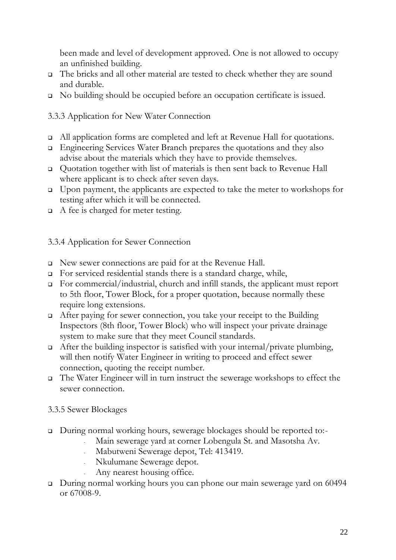been made and level of development approved. One is not allowed to occupy an unfinished building.

- The bricks and all other material are tested to check whether they are sound and durable.
- No building should be occupied before an occupation certificate is issued.

# 3.3.3 Application for New Water Connection

- All application forms are completed and left at Revenue Hall for quotations.
- Engineering Services Water Branch prepares the quotations and they also advise about the materials which they have to provide themselves.
- Quotation together with list of materials is then sent back to Revenue Hall where applicant is to check after seven days.
- Upon payment, the applicants are expected to take the meter to workshops for testing after which it will be connected.
- $\Box$  A fee is charged for meter testing.

## 3.3.4 Application for Sewer Connection

- New sewer connections are paid for at the Revenue Hall.
- For serviced residential stands there is a standard charge, while,
- For commercial/industrial, church and infill stands, the applicant must report to 5th floor, Tower Block, for a proper quotation, because normally these require long extensions.
- After paying for sewer connection, you take your receipt to the Building Inspectors (8th floor, Tower Block) who will inspect your private drainage system to make sure that they meet Council standards.
- $\Box$  After the building inspector is satisfied with your internal/private plumbing, will then notify Water Engineer in writing to proceed and effect sewer connection, quoting the receipt number.
- The Water Engineer will in turn instruct the sewerage workshops to effect the sewer connection.

## 3.3.5 Sewer Blockages

- During normal working hours, sewerage blockages should be reported to:-
	- Main sewerage yard at corner Lobengula St. and Masotsha Av.
		- Mabutweni Sewerage depot, Tel: 413419.
	- Nkulumane Sewerage depot.
	- Any nearest housing office.
- □ During normal working hours you can phone our main sewerage yard on 60494 or 67008-9.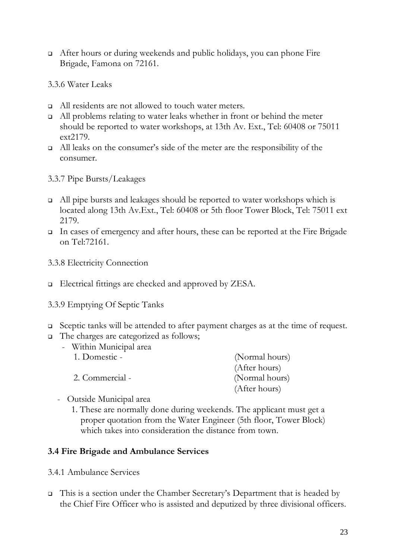- After hours or during weekends and public holidays, you can phone Fire Brigade, Famona on 72161.
- 3.3.6 Water Leaks
- □ All residents are not allowed to touch water meters.
- $\Box$  All problems relating to water leaks whether in front or behind the meter should be reported to water workshops, at 13th Av. Ext., Tel: 60408 or 75011 ext2179.
- All leaks on the consumer's side of the meter are the responsibility of the consumer.
- 3.3.7 Pipe Bursts/Leakages
- All pipe bursts and leakages should be reported to water workshops which is located along 13th Av.Ext., Tel: 60408 or 5th floor Tower Block, Tel: 75011 ext 2179.
- In cases of emergency and after hours, these can be reported at the Fire Brigade on Tel:72161.
- 3.3.8 Electricity Connection
- □ Electrical fittings are checked and approved by ZESA.
- 3.3.9 Emptying Of Septic Tanks
- Sceptic tanks will be attended to after payment charges as at the time of request.
- The charges are categorized as follows;
	- Within Municipal area

| 1. Domestic -   | (Normal hours) |
|-----------------|----------------|
|                 | (After hours)  |
| 2. Commercial - | (Normal hours) |
|                 | (After hours)  |

- Outside Municipal area
	- 1. These are normally done during weekends. The applicant must get a proper quotation from the Water Engineer (5th floor, Tower Block) which takes into consideration the distance from town.

#### **3.4 Fire Brigade and Ambulance Services**

- 3.4.1 Ambulance Services
- $\Box$  This is a section under the Chamber Secretary's Department that is headed by the Chief Fire Officer who is assisted and deputized by three divisional officers.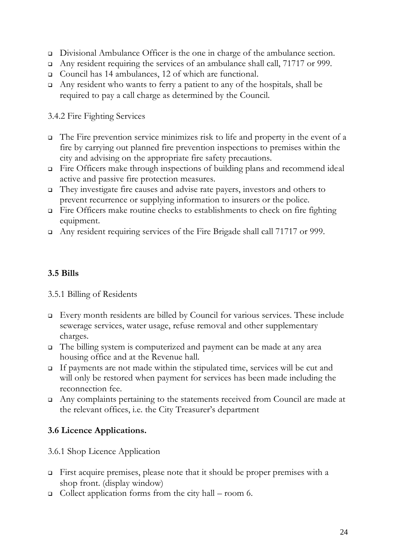- Divisional Ambulance Officer is the one in charge of the ambulance section.
- Any resident requiring the services of an ambulance shall call, 71717 or 999.
- Council has 14 ambulances, 12 of which are functional.
- $\Box$  Any resident who wants to ferry a patient to any of the hospitals, shall be required to pay a call charge as determined by the Council.

#### 3.4.2 Fire Fighting Services

- $\Box$  The Fire prevention service minimizes risk to life and property in the event of a fire by carrying out planned fire prevention inspections to premises within the city and advising on the appropriate fire safety precautions.
- $\Box$  Fire Officers make through inspections of building plans and recommend ideal active and passive fire protection measures.
- They investigate fire causes and advise rate payers, investors and others to prevent recurrence or supplying information to insurers or the police.
- $\Box$  Fire Officers make routine checks to establishments to check on fire fighting equipment.
- Any resident requiring services of the Fire Brigade shall call 71717 or 999.

# **3.5 Bills**

#### 3.5.1 Billing of Residents

- Every month residents are billed by Council for various services. These include sewerage services, water usage, refuse removal and other supplementary charges.
- The billing system is computerized and payment can be made at any area housing office and at the Revenue hall.
- If payments are not made within the stipulated time, services will be cut and will only be restored when payment for services has been made including the reconnection fee.
- Any complaints pertaining to the statements received from Council are made at the relevant offices, i.e. the City Treasurer's department

## **3.6 Licence Applications.**

#### 3.6.1 Shop Licence Application

- First acquire premises, please note that it should be proper premises with a shop front. (display window)
- Collect application forms from the city hall room 6.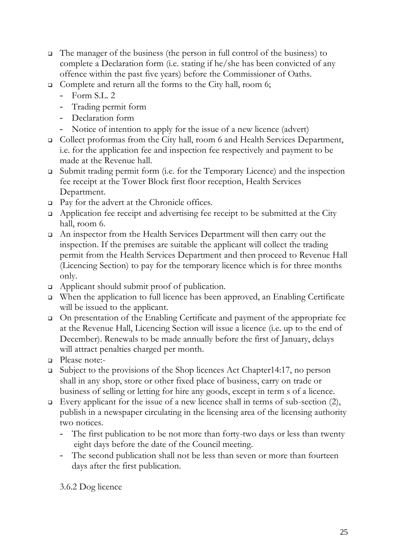- The manager of the business (the person in full control of the business) to complete a Declaration form (i.e. stating if he/she has been convicted of any offence within the past five years) before the Commissioner of Oaths.
- □ Complete and return all the forms to the City hall, room 6;
	- Form S.L. 2
	- Trading permit form
	- Declaration form
	- Notice of intention to apply for the issue of a new licence (advert)
- Collect proformas from the City hall, room 6 and Health Services Department, i.e. for the application fee and inspection fee respectively and payment to be made at the Revenue hall.
- Submit trading permit form (i.e. for the Temporary Licence) and the inspection fee receipt at the Tower Block first floor reception, Health Services Department.
- □ Pay for the advert at the Chronicle offices.
- Application fee receipt and advertising fee receipt to be submitted at the City hall, room 6.
- An inspector from the Health Services Department will then carry out the inspection. If the premises are suitable the applicant will collect the trading permit from the Health Services Department and then proceed to Revenue Hall (Licencing Section) to pay for the temporary licence which is for three months only.
- Applicant should submit proof of publication.
- When the application to full licence has been approved, an Enabling Certificate will be issued to the applicant.
- On presentation of the Enabling Certificate and payment of the appropriate fee at the Revenue Hall, Licencing Section will issue a licence (i.e. up to the end of December). Renewals to be made annually before the first of January, delays will attract penalties charged per month.
- Please note:-
- Subject to the provisions of the Shop licences Act Chapter14:17, no person shall in any shop, store or other fixed place of business, carry on trade or business of selling or letting for hire any goods, except in term s of a licence.
- Every applicant for the issue of a new licence shall in terms of sub-section  $(2)$ , publish in a newspaper circulating in the licensing area of the licensing authority two notices.
	- The first publication to be not more than forty-two days or less than twenty eight days before the date of the Council meeting.
	- The second publication shall not be less than seven or more than fourteen days after the first publication.

3.6.2 Dog licence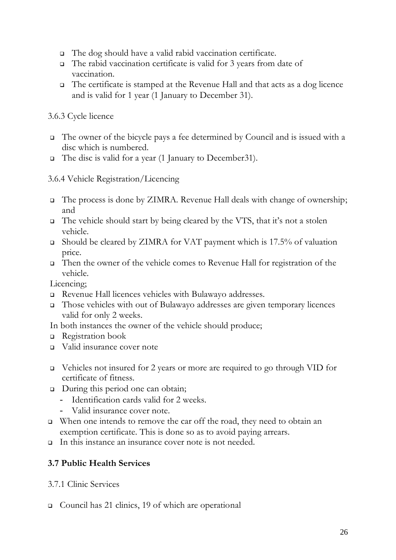- The dog should have a valid rabid vaccination certificate.
- The rabid vaccination certificate is valid for 3 years from date of vaccination.
- $\Box$  The certificate is stamped at the Revenue Hall and that acts as a dog licence and is valid for 1 year (1 January to December 31).

#### 3.6.3 Cycle licence

- The owner of the bicycle pays a fee determined by Council and is issued with a disc which is numbered.
- The disc is valid for a year (1 January to December31).

#### 3.6.4 Vehicle Registration/Licencing

- The process is done by ZIMRA. Revenue Hall deals with change of ownership; and
- The vehicle should start by being cleared by the VTS, that it's not a stolen vehicle.
- Should be cleared by ZIMRA for VAT payment which is 17.5% of valuation price.
- Then the owner of the vehicle comes to Revenue Hall for registration of the vehicle.

Licencing;

- Revenue Hall licences vehicles with Bulawayo addresses.
- Those vehicles with out of Bulawayo addresses are given temporary licences valid for only 2 weeks.
- In both instances the owner of the vehicle should produce;
- Registration book
- Valid insurance cover note
- Vehicles not insured for 2 years or more are required to go through VID for certificate of fitness.
- □ During this period one can obtain;
	- Identification cards valid for 2 weeks.
	- Valid insurance cover note.
- □ When one intends to remove the car off the road, they need to obtain an exemption certificate. This is done so as to avoid paying arrears.
- In this instance an insurance cover note is not needed.

## **3.7 Public Health Services**

- 3.7.1 Clinic Services
- □ Council has 21 clinics, 19 of which are operational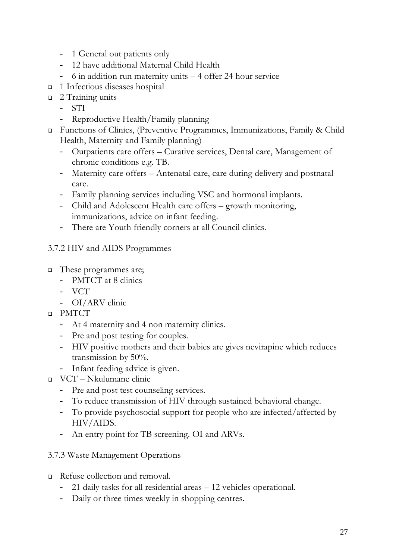- 1 General out patients only
- 12 have additional Maternal Child Health
- 6 in addition run maternity units 4 offer 24 hour service
- □ 1 Infectious diseases hospital
- □ 2 Training units
	- STI
	- Reproductive Health/Family planning
- Functions of Clinics, (Preventive Programmes, Immunizations, Family & Child Health, Maternity and Family planning)
	- Outpatients care offers Curative services, Dental care, Management of chronic conditions e.g. TB.
	- Maternity care offers Antenatal care, care during delivery and postnatal care.
	- Family planning services including VSC and hormonal implants.
	- Child and Adolescent Health care offers growth monitoring, immunizations, advice on infant feeding.
	- There are Youth friendly corners at all Council clinics.

#### 3.7.2 HIV and AIDS Programmes

- These programmes are;
	- PMTCT at 8 clinics
	- VCT
	- OI/ARV clinic
- PMTCT
	- At 4 maternity and 4 non maternity clinics.
	- Pre and post testing for couples.
	- HIV positive mothers and their babies are gives nevirapine which reduces transmission by 50%.
	- Infant feeding advice is given.
- VCT Nkulumane clinic
	- Pre and post test counseling services.
	- To reduce transmission of HIV through sustained behavioral change.
	- To provide psychosocial support for people who are infected/affected by HIV/AIDS.
	- An entry point for TB screening. OI and ARVs.
- 3.7.3 Waste Management Operations
- Refuse collection and removal.
	- 21 daily tasks for all residential areas 12 vehicles operational.
	- Daily or three times weekly in shopping centres.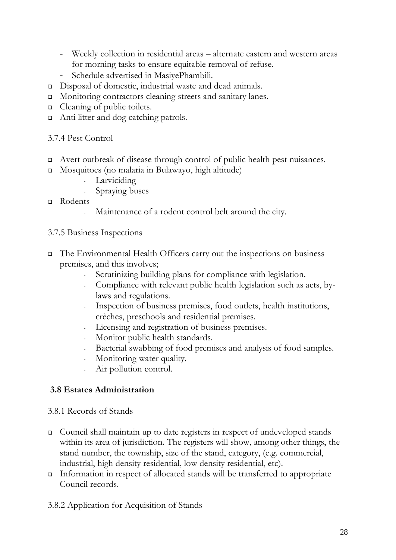- Weekly collection in residential areas alternate eastern and western areas for morning tasks to ensure equitable removal of refuse.
- Schedule advertised in MasiyePhambili.
- Disposal of domestic, industrial waste and dead animals.
- Monitoring contractors cleaning streets and sanitary lanes.
- □ Cleaning of public toilets.
- □ Anti litter and dog catching patrols.

#### 3.7.4 Pest Control

- Avert outbreak of disease through control of public health pest nuisances.
- Mosquitoes (no malaria in Bulawayo, high altitude)
	- Larviciding
	- Spraying buses
- Rodents
	- Maintenance of a rodent control belt around the city.

#### 3.7.5 Business Inspections

- The Environmental Health Officers carry out the inspections on business premises, and this involves;
	- Scrutinizing building plans for compliance with legislation.
	- Compliance with relevant public health legislation such as acts, bylaws and regulations.
	- Inspection of business premises, food outlets, health institutions, crèches, preschools and residential premises.
	- Licensing and registration of business premises.
	- Monitor public health standards.
	- Bacterial swabbing of food premises and analysis of food samples.
	- Monitoring water quality.
	- Air pollution control.

#### **3.8 Estates Administration**

#### 3.8.1 Records of Stands

- Council shall maintain up to date registers in respect of undeveloped stands within its area of jurisdiction. The registers will show, among other things, the stand number, the township, size of the stand, category, (e.g. commercial, industrial, high density residential, low density residential, etc).
- Information in respect of allocated stands will be transferred to appropriate Council records.
- 3.8.2 Application for Acquisition of Stands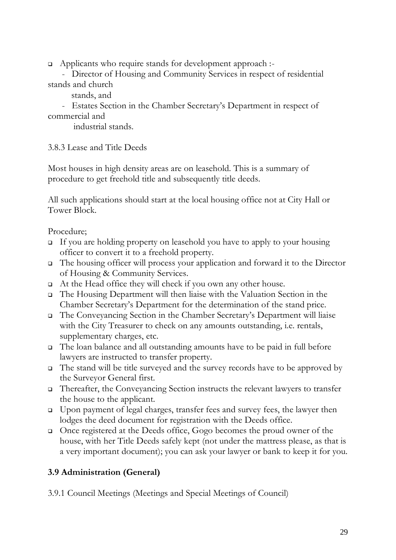Applicants who require stands for development approach :-

 - Director of Housing and Community Services in respect of residential stands and church

stands, and

 - Estates Section in the Chamber Secretary's Department in respect of commercial and

industrial stands.

3.8.3 Lease and Title Deeds

Most houses in high density areas are on leasehold. This is a summary of procedure to get freehold title and subsequently title deeds.

All such applications should start at the local housing office not at City Hall or Tower Block.

Procedure;

- If you are holding property on leasehold you have to apply to your housing officer to convert it to a freehold property.
- The housing officer will process your application and forward it to the Director of Housing & Community Services.
- At the Head office they will check if you own any other house.
- The Housing Department will then liaise with the Valuation Section in the Chamber Secretary's Department for the determination of the stand price.
- The Conveyancing Section in the Chamber Secretary's Department will liaise with the City Treasurer to check on any amounts outstanding, i.e. rentals, supplementary charges, etc.
- The loan balance and all outstanding amounts have to be paid in full before lawyers are instructed to transfer property.
- The stand will be title surveyed and the survey records have to be approved by the Surveyor General first.
- Thereafter, the Conveyancing Section instructs the relevant lawyers to transfer the house to the applicant.
- Upon payment of legal charges, transfer fees and survey fees, the lawyer then lodges the deed document for registration with the Deeds office.
- Once registered at the Deeds office, Gogo becomes the proud owner of the house, with her Title Deeds safely kept (not under the mattress please, as that is a very important document); you can ask your lawyer or bank to keep it for you.

## **3.9 Administration (General)**

3.9.1 Council Meetings (Meetings and Special Meetings of Council)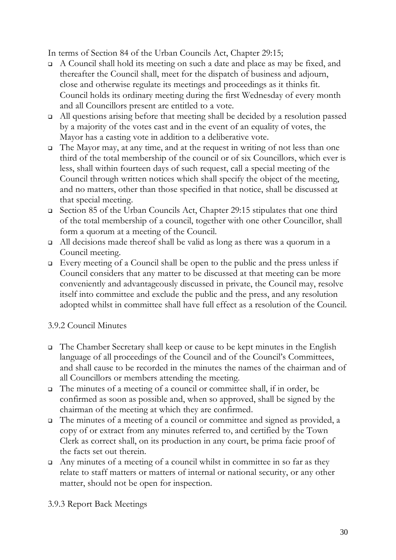In terms of Section 84 of the Urban Councils Act, Chapter 29:15;

- $\Box$  A Council shall hold its meeting on such a date and place as may be fixed, and thereafter the Council shall, meet for the dispatch of business and adjourn, close and otherwise regulate its meetings and proceedings as it thinks fit. Council holds its ordinary meeting during the first Wednesday of every month and all Councillors present are entitled to a vote.
- All questions arising before that meeting shall be decided by a resolution passed by a majority of the votes cast and in the event of an equality of votes, the Mayor has a casting vote in addition to a deliberative vote.
- $\Box$  The Mayor may, at any time, and at the request in writing of not less than one third of the total membership of the council or of six Councillors, which ever is less, shall within fourteen days of such request, call a special meeting of the Council through written notices which shall specify the object of the meeting, and no matters, other than those specified in that notice, shall be discussed at that special meeting.
- Section 85 of the Urban Councils Act, Chapter 29:15 stipulates that one third of the total membership of a council, together with one other Councillor, shall form a quorum at a meeting of the Council.
- All decisions made thereof shall be valid as long as there was a quorum in a Council meeting.
- Every meeting of a Council shall be open to the public and the press unless if Council considers that any matter to be discussed at that meeting can be more conveniently and advantageously discussed in private, the Council may, resolve itself into committee and exclude the public and the press, and any resolution adopted whilst in committee shall have full effect as a resolution of the Council.

## 3.9.2 Council Minutes

- The Chamber Secretary shall keep or cause to be kept minutes in the English language of all proceedings of the Council and of the Council's Committees, and shall cause to be recorded in the minutes the names of the chairman and of all Councillors or members attending the meeting.
- The minutes of a meeting of a council or committee shall, if in order, be confirmed as soon as possible and, when so approved, shall be signed by the chairman of the meeting at which they are confirmed.
- The minutes of a meeting of a council or committee and signed as provided, a copy of or extract from any minutes referred to, and certified by the Town Clerk as correct shall, on its production in any court, be prima facie proof of the facts set out therein.
- $\Box$  Any minutes of a meeting of a council whilst in committee in so far as they relate to staff matters or matters of internal or national security, or any other matter, should not be open for inspection.

3.9.3 Report Back Meetings